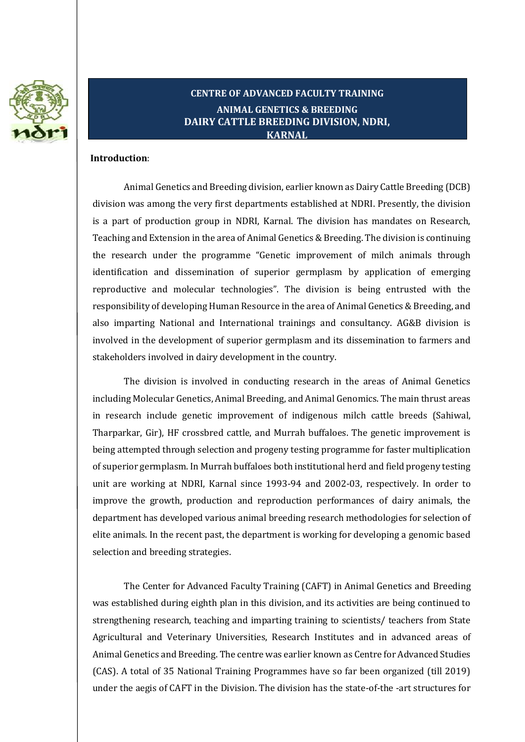

# **CENTRE OF ADVANCED FACULTY TRAINING ANIMAL GENETICS & BREEDING DAIRY CATTLE BREEDING DIVISION, NDRI, KARNAL**

#### **Introduction**:

Animal Genetics and Breeding division, earlier known as Dairy Cattle Breeding (DCB) division was among the very first departments established at NDRI. Presently, the division is a part of production group in NDRI, Karnal. The division has mandates on Research, Teaching and Extension in the area of Animal Genetics & Breeding. The division is continuing the research under the programme "Genetic improvement of milch animals through identification and dissemination of superior germplasm by application of emerging reproductive and molecular technologies". The division is being entrusted with the responsibility of developing Human Resource in the area of Animal Genetics & Breeding, and also imparting National and International trainings and consultancy. AG&B division is involved in the development of superior germplasm and its dissemination to farmers and stakeholders involved in dairy development in the country.

The division is involved in conducting research in the areas of Animal Genetics including Molecular Genetics, Animal Breeding, and Animal Genomics. The main thrust areas in research include genetic improvement of indigenous milch cattle breeds (Sahiwal, Tharparkar, Gir), HF crossbred cattle, and Murrah buffaloes. The genetic improvement is being attempted through selection and progeny testing programme for faster multiplication of superior germplasm. In Murrah buffaloes both institutional herd and field progeny testing unit are working at NDRI, Karnal since 1993-94 and 2002-03, respectively. In order to improve the growth, production and reproduction performances of dairy animals, the department has developed various animal breeding research methodologies for selection of elite animals. In the recent past, the department is working for developing a genomic based selection and breeding strategies.

The Center for Advanced Faculty Training (CAFT) in Animal Genetics and Breeding was established during eighth plan in this division, and its activities are being continued to strengthening research, teaching and imparting training to scientists/ teachers from State Agricultural and Veterinary Universities, Research Institutes and in advanced areas of Animal Genetics and Breeding. The centre was earlier known as Centre for Advanced Studies (CAS). A total of 35 National Training Programmes have so far been organized (till 2019) under the aegis of CAFT in the Division. The division has the state-of-the -art structures for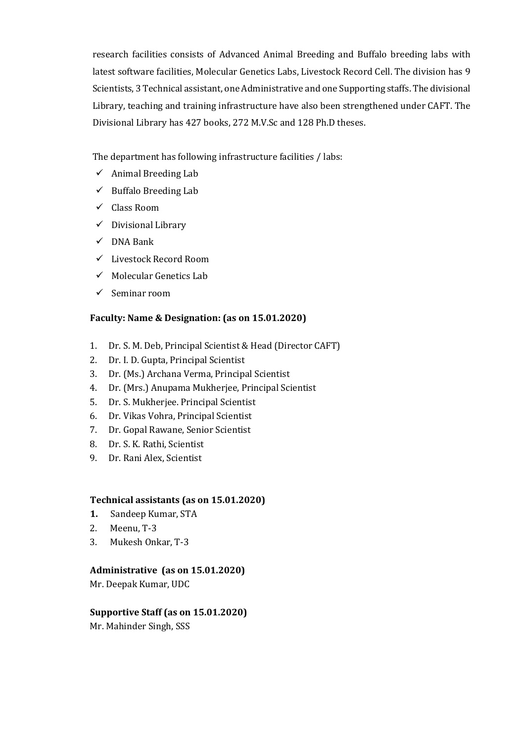research facilities consists of Advanced Animal Breeding and Buffalo breeding labs with latest software facilities, Molecular Genetics Labs, Livestock Record Cell. The division has 9 Scientists, 3 Technical assistant, one Administrative and one Supporting staffs. The divisional Library, teaching and training infrastructure have also been strengthened under CAFT. The Divisional Library has 427 books, 272 M.V.Sc and 128 Ph.D theses.

The department has following infrastructure facilities / labs:

- $\checkmark$  Animal Breeding Lab
- $\checkmark$  Buffalo Breeding Lab
- $\checkmark$  Class Room
- $\checkmark$  Divisional Library
- $\checkmark$  DNA Bank
- Livestock Record Room
- $\checkmark$  Molecular Genetics Lab
- $\checkmark$  Seminar room

# **Faculty: Name & Designation: (as on 15.01.2020)**

- 1. Dr. S. M. Deb, Principal Scientist & Head (Director CAFT)
- 2. Dr. I. D. Gupta, Principal Scientist
- 3. Dr. (Ms.) Archana Verma, Principal Scientist
- 4. Dr. (Mrs.) Anupama Mukherjee, Principal Scientist
- 5. Dr. S. Mukherjee. Principal Scientist
- 6. Dr. Vikas Vohra, Principal Scientist
- 7. Dr. Gopal Rawane, Senior Scientist
- 8. Dr. S. K. Rathi, Scientist
- 9. Dr. Rani Alex, Scientist

# **Technical assistants (as on 15.01.2020)**

- **1.** Sandeep Kumar, STA
- 2. Meenu, T-3
- 3. Mukesh Onkar, T-3

# **Administrative (as on 15.01.2020)**

Mr. Deepak Kumar, UDC

# **Supportive Staff (as on 15.01.2020)**

Mr. Mahinder Singh, SSS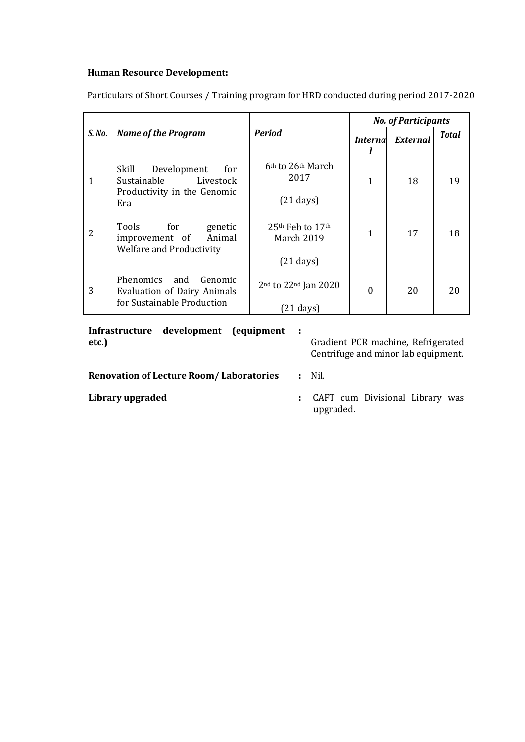# **Human Resource Development:**

| S. No. | <b>Name of the Program</b>                                                                    |                                                           | <b>No. of Participants</b> |                 |       |  |
|--------|-----------------------------------------------------------------------------------------------|-----------------------------------------------------------|----------------------------|-----------------|-------|--|
|        |                                                                                               | <b>Period</b>                                             | <i>Interna</i>             | <b>External</b> | Total |  |
| 1      | Skill<br>Development<br>for<br>Sustainable<br>Livestock<br>Productivity in the Genomic<br>Era | 6th to 26th March<br>2017                                 | 1                          | 18              | 19    |  |
|        |                                                                                               | $(21 \text{ days})$                                       |                            |                 |       |  |
| 2      | Tools<br>for<br>genetic<br>Animal<br>improvement of<br><b>Welfare and Productivity</b>        | $25th$ Feb to $17th$<br>March 2019<br>$(21 \text{ days})$ | 1                          | 17              | 18    |  |
| 3      | Phenomics and<br>Genomic<br>Evaluation of Dairy Animals<br>for Sustainable Production         | $2nd$ to $22nd$ Jan 2020<br>$(21 \text{ days})$           | $\Omega$                   | 20              | 20    |  |

Particulars of Short Courses / Training program for HRD conducted during period 2017-2020

| Infrastructure development (equipment<br>etc.) | Gradient PCR machine, Refrigerated<br>Centrifuge and minor lab equipment. |
|------------------------------------------------|---------------------------------------------------------------------------|
| <b>Renovation of Lecture Room/Laboratories</b> | $\blacksquare$ Nil.                                                       |
| Library upgraded                               | : CAFT cum Divisional Library was<br>upgraded.                            |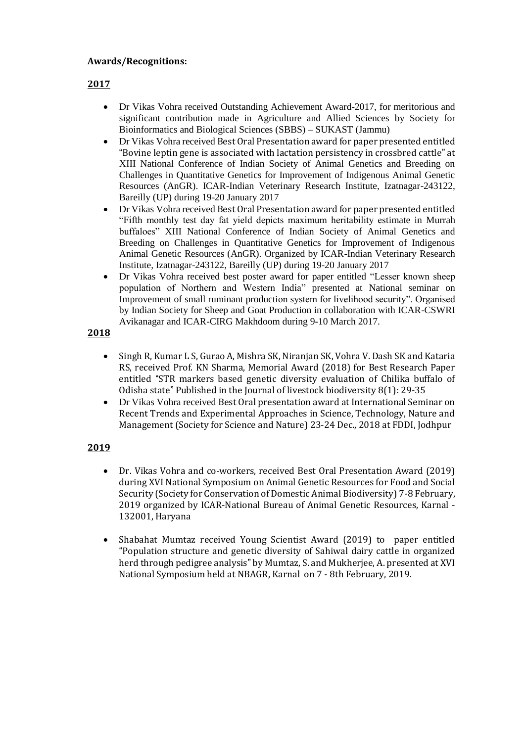#### **Awards/Recognitions:**

# **2017**

- Dr Vikas Vohra received Outstanding Achievement Award-2017, for meritorious and significant contribution made in Agriculture and Allied Sciences by Society for Bioinformatics and Biological Sciences (SBBS) – SUKAST (Jammu)
- Dr Vikas Vohra received Best Oral Presentation award for paper presented entitled "Bovine leptin gene is associated with lactation persistency in crossbred cattle" at XIII National Conference of Indian Society of Animal Genetics and Breeding on Challenges in Quantitative Genetics for Improvement of Indigenous Animal Genetic Resources (AnGR). ICAR-Indian Veterinary Research Institute, Izatnagar-243122, Bareilly (UP) during 19-20 January 2017
- Dr Vikas Vohra received Best Oral Presentation award for paper presented entitled "Fifth monthly test day fat yield depicts maximum heritability estimate in Murrah buffaloes" XIII National Conference of Indian Society of Animal Genetics and Breeding on Challenges in Quantitative Genetics for Improvement of Indigenous Animal Genetic Resources (AnGR). Organized by ICAR-Indian Veterinary Research Institute, Izatnagar-243122, Bareilly (UP) during 19-20 January 2017
- Dr Vikas Vohra received best poster award for paper entitled "Lesser known sheep population of Northern and Western India" presented at National seminar on Improvement of small ruminant production system for livelihood security". Organised by Indian Society for Sheep and Goat Production in collaboration with ICAR-CSWRI Avikanagar and ICAR-CIRG Makhdoom during 9-10 March 2017.

# **2018**

- Singh R, Kumar L S, Gurao A, Mishra SK, Niranjan SK, Vohra V. Dash SK and Kataria RS, received Prof. KN Sharma, Memorial Award (2018) for Best Research Paper entitled "STR markers based genetic diversity evaluation of Chilika buffalo of Odisha state" Published in the Journal of livestock biodiversity 8(1): 29-35
- Dr Vikas Vohra received Best Oral presentation award at International Seminar on Recent Trends and Experimental Approaches in Science, Technology, Nature and Management (Society for Science and Nature) 23-24 Dec., 2018 at FDDI, Jodhpur

# **2019**

- Dr. Vikas Vohra and co-workers, received Best Oral Presentation Award (2019) during XVI National Symposium on Animal Genetic Resources for Food and Social Security (Society for Conservation of Domestic Animal Biodiversity) 7-8 February, 2019 organized by ICAR-National Bureau of Animal Genetic Resources, Karnal - 132001, Haryana
- Shabahat Mumtaz received Young Scientist Award (2019) to paper entitled "Population structure and genetic diversity of Sahiwal dairy cattle in organized herd through pedigree analysis" by Mumtaz, S. and Mukherjee, A. presented at XVI National Symposium held at NBAGR, Karnal on 7 - 8th February, 2019.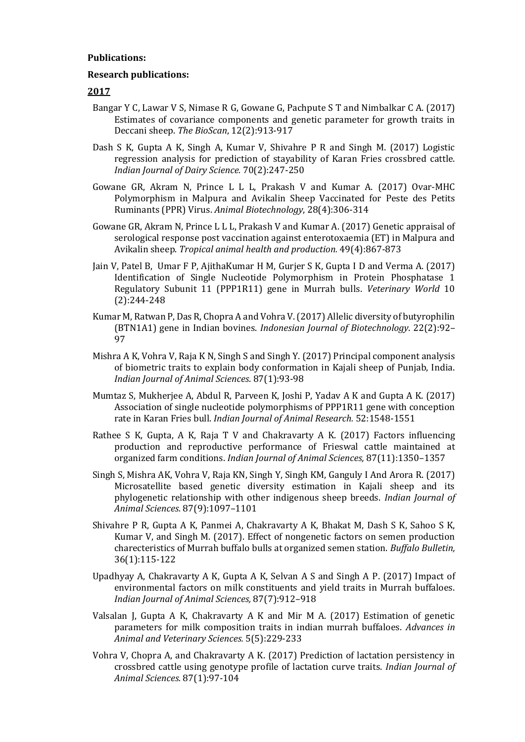#### **Publications:**

#### **Research publications:**

### **2017**

- Bangar Y C, Lawar V S, Nimase R G, Gowane G, Pachpute S T and Nimbalkar C A. (2017) Estimates of covariance components and genetic parameter for growth traits in Deccani sheep. *The BioScan*, 12(2):913-917
- Dash S K, Gupta A K, Singh A, Kumar V, Shivahre P R and Singh M. (2017) Logistic regression analysis for prediction of stayability of Karan Fries crossbred cattle. *Indian Journal of Dairy Science.* 70(2):247-250
- Gowane GR, Akram N, Prince L L L, Prakash V and Kumar A. (2017) Ovar-MHC Polymorphism in Malpura and Avikalin Sheep Vaccinated for Peste des Petits Ruminants (PPR) Virus. *Animal Biotechnology*, 28(4):306-314
- Gowane GR, Akram N, Prince L L L, Prakash V and Kumar A. (2017) Genetic appraisal of serological response post vaccination against enterotoxaemia (ET) in Malpura and Avikalin sheep. *Tropical animal health and production.* 49(4):867-873
- Jain V, Patel B, Umar F P, AjithaKumar H M, Gurjer S K, Gupta I D and Verma A. (2017) Identification of Single Nucleotide Polymorphism in Protein Phosphatase 1 Regulatory Subunit 11 (PPP1R11) gene in Murrah bulls. *Veterinary World* 10 (2):244-248
- Kumar M, Ratwan P, Das R, Chopra A and Vohra V. (2017) Allelic diversity of butyrophilin (BTN1A1) gene in Indian bovines. *Indonesian Journal of Biotechnology*. 22(2):92– 97
- Mishra A K, Vohra V, Raja K N, Singh S and Singh Y. (2017) Principal component analysis of biometric traits to explain body conformation in Kajali sheep of Punjab, India. *Indian Journal of Animal Sciences*. 87(1):93-98
- Mumtaz S, Mukherjee A, Abdul R, Parveen K, Joshi P, Yadav A K and Gupta A K. (2017) Association of single nucleotide polymorphisms of PPP1R11 gene with conception rate in Karan Fries bull. *Indian Journal of Animal Research.* 52:1548-1551
- Rathee S K, Gupta, A K, Raja T V and Chakravarty A K. (2017) Factors influencing production and reproductive performance of Frieswal cattle maintained at organized farm conditions. *Indian Journal of Animal Sciences,* 87(11):1350–1357
- Singh S, Mishra AK, Vohra V, Raja KN, Singh Y, Singh KM, Ganguly I And Arora R. (2017) Microsatellite based genetic diversity estimation in Kajali sheep and its phylogenetic relationship with other indigenous sheep breeds. *Indian Journal of Animal Sciences.* 87(9):1097–1101
- Shivahre P R, Gupta A K, Panmei A, Chakravarty A K, Bhakat M, Dash S K, Sahoo S K, Kumar V, and Singh M. (2017). Effect of nongenetic factors on semen production charecteristics of Murrah buffalo bulls at organized semen station. *Buffalo Bulletin,* 36(1):115-122
- Upadhyay A, Chakravarty A K, Gupta A K, Selvan A S and Singh A P. (2017) Impact of environmental factors on milk constituents and yield traits in Murrah buffaloes. *Indian Journal of Animal Sciences,* 87(7):912–918
- Valsalan J, Gupta A K, Chakravarty A K and Mir M A. (2017) Estimation of genetic parameters for milk composition traits in indian murrah buffaloes. *[Advances in](https://nexusacademicpublishers.com/journal/4)  [Animal and Veterinary Sciences.](https://nexusacademicpublishers.com/journal/4)* 5(5):229-233
- Vohra V, Chopra A, and Chakravarty A K. (2017) Prediction of lactation persistency in crossbred cattle using genotype profile of lactation curve traits. *Indian Journal of Animal Sciences.* 87(1):97-104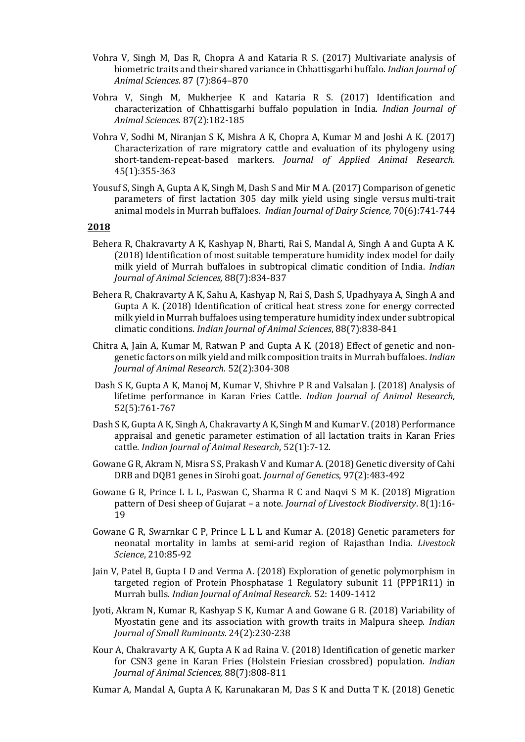- Vohra V, Singh M, Das R, Chopra A and Kataria R S. (2017) Multivariate analysis of biometric traits and their shared variance in Chhattisgarhi buffalo. *Indian Journal of Animal Sciences.* 87 (7):864–870
- Vohra V, Singh M, Mukherjee K and Kataria R S. (2017) Identification and characterization of Chhattisgarhi buffalo population in India. *Indian Journal of Animal Sciences*. 87(2):182-185
- Vohra V, Sodhi M, Niranjan S K, Mishra A K, Chopra A, Kumar M and Joshi A K. (2017) Characterization of rare migratory cattle and evaluation of its phylogeny using short-tandem-repeat-based markers. *Journal of Applied Animal Research.* 45(1):355-363
- Yousuf S, Singh A, Gupta A K, Singh M, Dash S and Mir M A. (2017) Comparison of genetic parameters of first lactation 305 day milk yield using single versus multi-trait animal models in Murrah buffaloes. *Indian Journal of Dairy Science,* 70(6):741-744

#### **2018**

- Behera R, Chakravarty A K, Kashyap N, Bharti, Rai S, Mandal A, Singh A and Gupta A K. (2018) Identification of most suitable temperature humidity index model for daily milk yield of Murrah buffaloes in subtropical climatic condition of India. *Indian Journal of Animal Sciences,* 88(7):834-837
- Behera R, Chakravarty A K, Sahu A, Kashyap N, Rai S, Dash S, Upadhyaya A, Singh A and Gupta A K. (2018) Identification of critical heat stress zone for energy corrected milk yield in Murrah buffaloes using temperature humidity index under subtropical climatic conditions. *Indian Journal of Animal Sciences*, 88(7):838-841
- Chitra A, Jain A, Kumar M, Ratwan P and Gupta A K. (2018) Effect of genetic and nongenetic factors on milk yield and milk composition traits in Murrah buffaloes. *Indian Journal of Animal Research*. 52(2):304-308
- Dash S K, Gupta A K, Manoj M, Kumar V, Shivhre P R and Valsalan J. (2018) Analysis of lifetime performance in Karan Fries Cattle. *Indian Journal of Animal Research,* 52(5):761-767
- Dash S K, Gupta A K, Singh A, Chakravarty A K, Singh M and Kumar V. (2018) Performance appraisal and genetic parameter estimation of all lactation traits in Karan Fries cattle. *Indian Journal of Animal Research*, 52(1):7-12.
- Gowane G R, Akram N, Misra S S, Prakash V and Kumar A. (2018) Genetic diversity of Cahi DRB and DQB1 genes in Sirohi goat. *Journal of Genetics*, 97(2):483-492
- Gowane G R, Prince L L L, Paswan C, Sharma R C and Naqvi S M K. (2018) Migration pattern of Desi sheep of Gujarat – a note. *Journal of Livestock Biodiversity*. 8(1):16- 19
- Gowane G R, Swarnkar C P, Prince L L L and Kumar A. (2018) Genetic parameters for neonatal mortality in lambs at semi-arid region of Rajasthan India. *Livestock Science*, 210:85-92
- Jain V, Patel B, Gupta I D and Verma A. (2018) Exploration of genetic polymorphism in targeted region of Protein Phosphatase 1 Regulatory subunit 11 (PPP1R11) in Murrah bulls. *Indian Journal of Animal Research.* 52: 1409-1412
- Jyoti, Akram N, Kumar R, Kashyap S K, Kumar A and Gowane G R. (2018) Variability of Myostatin gene and its association with growth traits in Malpura sheep. *Indian Journal of Small Ruminants*. 24(2):230-238
- Kour A, Chakravarty A K, Gupta A K ad Raina V. (2018) Identification of genetic marker for CSN3 gene in Karan Fries (Holstein Friesian crossbred) population. *Indian Journal of Animal Sciences,* 88(7):808-811

Kumar A, Mandal A, Gupta A K, Karunakaran M, Das S K and Dutta T K. (2018) Genetic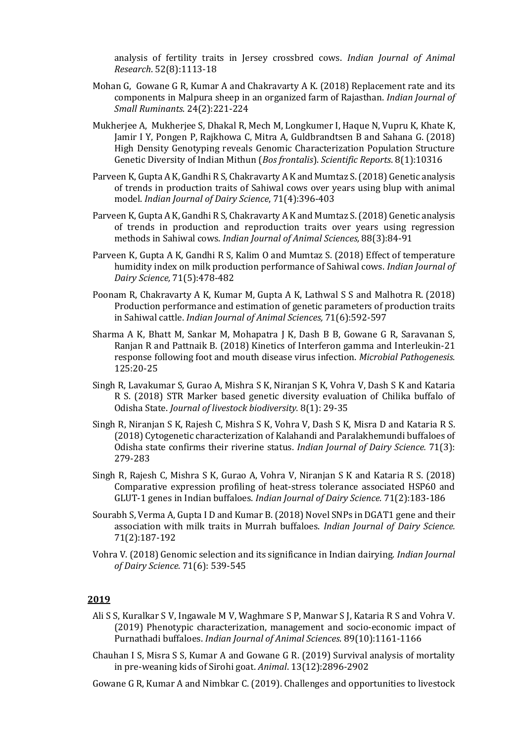analysis of fertility traits in Jersey crossbred cows. *Indian Journal of Animal Research*. 52(8):1113-18

- Mohan G, Gowane G R, Kumar A and Chakravarty A K. (2018) Replacement rate and its components in Malpura sheep in an organized farm of Rajasthan. *Indian Journal of Small Ruminants*. 24(2):221-224
- Mukherjee A, Mukherjee S, Dhakal R, Mech M, Longkumer I, Haque N, Vupru K, Khate K, Jamir I Y, Pongen P, Rajkhowa C, Mitra A, Guldbrandtsen B and Sahana G. (2018) High Density Genotyping reveals Genomic Characterization Population Structure Genetic Diversity of Indian Mithun (*Bos frontalis*). *Scientific Reports*. 8(1):10316
- Parveen K, Gupta A K, Gandhi R S, Chakravarty A K and Mumtaz S. (2018) Genetic analysis of trends in production traits of Sahiwal cows over years using blup with animal model. *Indian Journal of Dairy Science*, 71(4):396-403
- Parveen K, Gupta A K, Gandhi R S, Chakravarty A K and Mumtaz S. (2018) Genetic analysis of trends in production and reproduction traits over years using regression methods in Sahiwal cows. *Indian Journal of Animal Sciences,* 88(3):84-91
- Parveen K, Gupta A K, Gandhi R S, Kalim O and Mumtaz S. (2018) Effect of temperature humidity index on milk production performance of Sahiwal cows. *Indian Journal of Dairy Science,* 71(5):478-482
- Poonam R, Chakravarty A K, Kumar M, Gupta A K, Lathwal S S and Malhotra R. (2018) Production performance and estimation of genetic parameters of production traits in Sahiwal cattle. *Indian Journal of Animal Sciences,* 71(6):592-597
- Sharma A K, Bhatt M, Sankar M, Mohapatra J K, Dash B B, Gowane G R, Saravanan S, Ranjan R and Pattnaik B. (2018) Kinetics of Interferon gamma and Interleukin-21 response following foot and mouth disease virus infection. *Microbial Pathogenesis.*  125:20-25
- Singh R, Lavakumar S, Gurao A, Mishra S K, Niranjan S K, Vohra V, Dash S K and Kataria R S. (2018) STR Marker based genetic diversity evaluation of Chilika buffalo of Odisha State. *Journal of livestock biodiversity.* 8(1): 29-35
- Singh R, Niranjan S K, Rajesh C, Mishra S K, Vohra V, Dash S K, Misra D and Kataria R S. (2018) Cytogenetic characterization of Kalahandi and Paralakhemundi buffaloes of Odisha state confirms their riverine status. *Indian Journal of Dairy Science.* 71(3): 279-283
- Singh R, Rajesh C, Mishra S K, Gurao A, Vohra V, Niranjan S K and Kataria R S. (2018) Comparative expression profiling of heat-stress tolerance associated HSP60 and GLUT-1 genes in Indian buffaloes. *Indian Journal of Dairy Science.* 71(2):183-186
- Sourabh S, Verma A, Gupta I D and Kumar B. (2018) Novel SNPs in DGAT1 gene and their association with milk traits in Murrah buffaloes. *Indian Journal of Dairy Science.* 71(2):187-192
- Vohra V. (2018) Genomic selection and its significance in Indian dairying. *Indian Journal of Dairy Science.* 71(6): 539-545

### **2019**

- Ali S S, Kuralkar S V, Ingawale M V, Waghmare S P, Manwar S J, Kataria R S and Vohra V. (2019) Phenotypic characterization, management and socio-economic impact of Purnathadi buffaloes. *Indian Journal of Animal Sciences*. 89(10):1161-1166
- Chauhan I S, Misra S S, Kumar A and Gowane G R. (2019) Survival analysis of mortality in pre-weaning kids of Sirohi goat. *Animal*. 13(12):2896-2902
- Gowane G R, Kumar A and Nimbkar C. (2019). Challenges and opportunities to livestock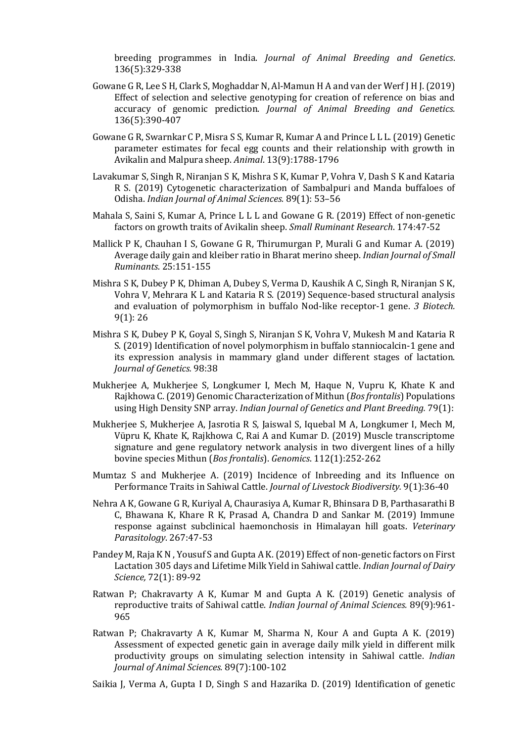breeding programmes in India. *Journal of Animal Breeding and Genetics*. 136(5):329-338

- Gowane G R, Lee S H, Clark S, Moghaddar N, Al‐Mamun H A and van der Werf J H J. (2019) Effect of selection and selective genotyping for creation of reference on bias and accuracy of genomic prediction. *Journal of Animal Breeding and Genetics.*  136(5):390-407
- Gowane G R, Swarnkar C P, Misra S S, Kumar R, Kumar A and Prince L L L. (2019) Genetic parameter estimates for fecal egg counts and their relationship with growth in Avikalin and Malpura sheep. *Animal*. 13(9):1788-1796
- Lavakumar S, Singh R, Niranjan S K, Mishra S K, Kumar P, Vohra V, Dash S K and Kataria R S. (2019) Cytogenetic characterization of Sambalpuri and Manda buffaloes of Odisha. *Indian Journal of Animal Sciences.* 89(1): 53–56
- Mahala S, Saini S, Kumar A, Prince L L L and Gowane G R. (2019) Effect of non-genetic factors on growth traits of Avikalin sheep. *Small Ruminant Research*. 174:47-52
- Mallick P K, Chauhan I S, Gowane G R, Thirumurgan P, Murali G and Kumar A. (2019) Average daily gain and kleiber ratio in Bharat merino sheep. *Indian Journal of Small Ruminants*. 25:151-155
- Mishra S K, Dubey P K, Dhiman A, Dubey S, Verma D, Kaushik A C, Singh R, Niranjan S K, Vohra V, Mehrara K L and Kataria R S. (2019) Sequence-based structural analysis and evaluation of polymorphism in buffalo Nod-like receptor-1 gene. *3 Biotech.* 9(1): 26
- Mishra S K, Dubey P K, Goyal S, Singh S, Niranjan S K, Vohra V, Mukesh M and Kataria R S. (2019) Identification of novel polymorphism in buffalo stanniocalcin-1 gene and its expression analysis in mammary gland under different stages of lactation. *Journal of Genetics.* 98:38
- Mukherjee A, Mukherjee S, Longkumer I, Mech M, Haque N, Vupru K, Khate K and Rajkhowa C. (2019) Genomic Characterization of Mithun (*Bos frontalis*) Populations using High Density SNP array. *Indian Journal of Genetics and Plant Breeding.* 79(1):
- Mukherjee S, Mukherjee A, Jasrotia R S, Jaiswal S, Iquebal M A, Longkumer I, Mech M, Vüpru K, Khate K, Rajkhowa C, Rai A and Kumar D. (2019) Muscle transcriptome signature and gene regulatory network analysis in two divergent lines of a hilly bovine species Mithun (*Bos frontalis*). *Genomics*. 112(1):252-262
- Mumtaz S and Mukherjee A. (2019) Incidence of Inbreeding and its Influence on Performance Traits in Sahiwal Cattle. *Journal of Livestock Biodiversity.* 9(1):36-40
- Nehra A K, Gowane G R, Kuriyal A, Chaurasiya A, Kumar R, Bhinsara D B, Parthasarathi B C, Bhawana K, Khare R K, Prasad A, Chandra D and Sankar M. (2019) Immune response against subclinical haemonchosis in Himalayan hill goats. *Veterinary Parasitology*. 267:47-53
- Pandey M, Raja K N , Yousuf S and Gupta A K. (2019) Effect of non-genetic factors on First Lactation 305 days and Lifetime Milk Yield in Sahiwal cattle. *Indian Journal of Dairy Science,* 72(1): 89-92
- Ratwan P; Chakravarty A K, Kumar M and Gupta A K. (2019) Genetic analysis of reproductive traits of Sahiwal cattle. *Indian Journal of Animal Sciences.* 89(9):961- 965
- Ratwan P; Chakravarty A K, Kumar M, Sharma N, Kour A and Gupta A K. (2019) Assessment of expected genetic gain in average daily milk yield in different milk productivity groups on simulating selection intensity in Sahiwal cattle. *Indian Journal of Animal Sciences.* 89(7):100-102
- Saikia J, Verma A, Gupta I D, Singh S and Hazarika D. (2019) Identification of genetic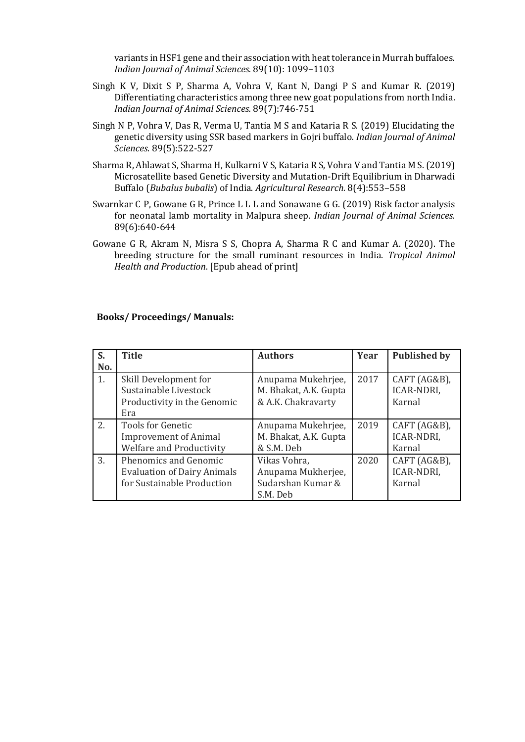variants in HSF1 gene and their association with heat tolerance in Murrah buffaloes. *Indian Journal of Animal Sciences.* 89(10): 1099–1103

- Singh K V, Dixit S P, Sharma A, Vohra V, Kant N, Dangi P S and Kumar R. (2019) Differentiating characteristics among three new goat populations from north India. *Indian Journal of Animal Sciences.* 89(7):746-751
- Singh N P, Vohra V, Das R, Verma U, Tantia M S and Kataria R S. (2019) Elucidating the genetic diversity using SSR based markers in Gojri buffalo. *Indian Journal of Animal Sciences*. 89(5):522-527
- Sharma R, Ahlawat S, Sharma H, Kulkarni V S, Kataria R S, Vohra V and Tantia M S. (2019) Microsatellite based Genetic Diversity and Mutation-Drift Equilibrium in Dharwadi Buffalo (*Bubalus bubalis*) of India. *Agricultural Research.* 8(4):553–558
- Swarnkar C P, Gowane G R, Prince L L L and Sonawane G G. (2019) Risk factor analysis for neonatal lamb mortality in Malpura sheep. *Indian Journal of Animal Sciences*. 89(6):640-644
- Gowane G R, Akram N, Misra S S, Chopra A, Sharma R C and Kumar A. (2020). The breeding structure for the small ruminant resources in India. *Tropical Animal Health and Production*. [Epub ahead of print]

| S.  | <b>Title</b>                                                                                | <b>Authors</b>                                                      | Year | <b>Published by</b>                  |
|-----|---------------------------------------------------------------------------------------------|---------------------------------------------------------------------|------|--------------------------------------|
| No. |                                                                                             |                                                                     |      |                                      |
| 1.  | Skill Development for<br>Sustainable Livestock<br>Productivity in the Genomic<br>Era        | Anupama Mukehrjee,<br>M. Bhakat, A.K. Gupta<br>& A.K. Chakravarty   | 2017 | CAFT (AG&B),<br>ICAR-NDRI,<br>Karnal |
| 2.  | <b>Tools for Genetic</b><br><b>Improvement of Animal</b><br><b>Welfare and Productivity</b> | Anupama Mukehrjee,<br>M. Bhakat, A.K. Gupta<br>& S.M. Deb           | 2019 | CAFT (AG&B),<br>ICAR-NDRI,<br>Karnal |
| 3.  | Phenomics and Genomic<br><b>Evaluation of Dairy Animals</b><br>for Sustainable Production   | Vikas Vohra,<br>Anupama Mukherjee,<br>Sudarshan Kumar &<br>S.M. Deb | 2020 | CAFT (AG&B),<br>ICAR-NDRI,<br>Karnal |

#### **Books/ Proceedings/ Manuals:**